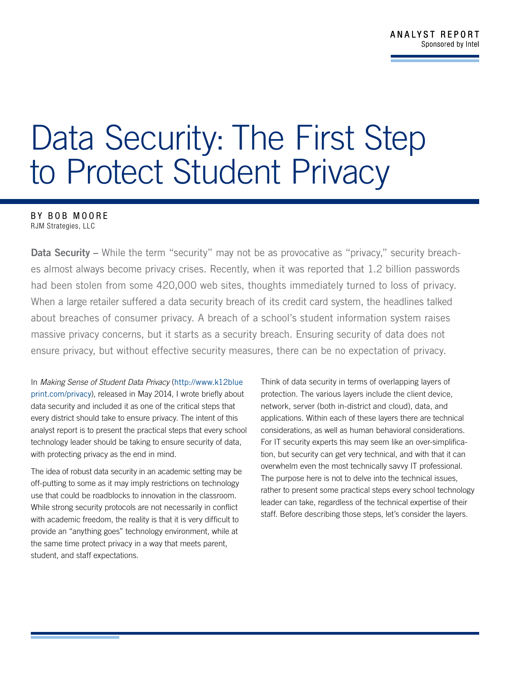## Data Security: The First Step to Protect Student Privacy

## BY BOB MOORE

RJM Strategies, LLC

Data Security – While the term "security" may not be as provocative as "privacy," security breaches almost always become privacy crises. Recently, when it was reported that 1.2 billion passwords had been stolen from some 420,000 web sites, thoughts immediately turned to loss of privacy. When a large retailer suffered a data security breach of its credit card system, the headlines talked about breaches of consumer privacy. A breach of a school's student information system raises massive privacy concerns, but it starts as a security breach. Ensuring security of data does not ensure privacy, but without effective security measures, there can be no expectation of privacy.

In *Making Sense of Student Data Privacy* ([http://www.k12blue](http://www.k12blueprint.com/privacy) [print.com/privacy](http://www.k12blueprint.com/privacy)), released in May 2014, I wrote briefly about data security and included it as one of the critical steps that every district should take to ensure privacy. The intent of this analyst report is to present the practical steps that every school technology leader should be taking to ensure security of data, with protecting privacy as the end in mind.

The idea of robust data security in an academic setting may be off-putting to some as it may imply restrictions on technology use that could be roadblocks to innovation in the classroom. While strong security protocols are not necessarily in conflict with academic freedom, the reality is that it is very difficult to provide an "anything goes" technology environment, while at the same time protect privacy in a way that meets parent, student, and staff expectations.

Think of data security in terms of overlapping layers of protection. The various layers include the client device, network, server (both in-district and cloud), data, and applications. Within each of these layers there are technical considerations, as well as human behavioral considerations. For IT security experts this may seem like an over-simplification, but security can get very technical, and with that it can overwhelm even the most technically savvy IT professional. The purpose here is not to delve into the technical issues, rather to present some practical steps every school technology leader can take, regardless of the technical expertise of their staff. Before describing those steps, let's consider the layers.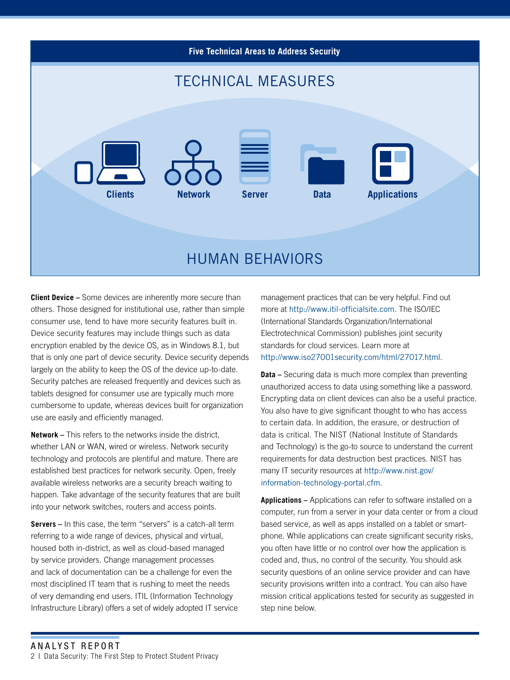

**Client Device –** Some devices are inherently more secure than others. Those designed for institutional use, rather than simple consumer use, tend to have more security features built in. Device security features may include things such as data encryption enabled by the device OS, as in Windows 8.1, but that is only one part of device security. Device security depends largely on the ability to keep the OS of the device up-to-date. Security patches are released frequently and devices such as tablets designed for consumer use are typically much more cumbersome to update, whereas devices built for organization use are easily and efficiently managed.

**Network –** This refers to the networks inside the district, whether LAN or WAN, wired or wireless. Network security technology and protocols are plentiful and mature. There are established best practices for network security. Open, freely available wireless networks are a security breach waiting to happen. Take advantage of the security features that are built into your network switches, routers and access points.

**Servers –** In this case, the term "servers" is a catch-all term referring to a wide range of devices, physical and virtual, housed both in-district, as well as cloud-based managed by service providers. Change management processes and lack of documentation can be a challenge for even the most disciplined IT team that is rushing to meet the needs of very demanding end users. ITIL (Information Technology Infrastructure Library) offers a set of widely adopted IT service management practices that can be very helpful. Find out more at <http://www.itil-officialsite.com>. The ISO/IEC (International Standards Organization/International Electrotechnical Commission) publishes joint security standards for cloud services. Learn more at http://www.iso27001security.com/html/27017.html.

**Data –** Securing data is much more complex than preventing unauthorized access to data using something like a password. Encrypting data on client devices can also be a useful practice. You also have to give significant thought to who has access to certain data. In addition, the erasure, or destruction of data is critical. The NIST (National Institute of Standards and Technology) is the go-to source to understand the current requirements for data destruction best practices. NIST has many IT security resources at http://www.nist.gov/ information-technology-portal.cfm.

**Applications –** Applications can refer to software installed on a computer, run from a server in your data center or from a cloud based service, as well as apps installed on a tablet or smartphone. While applications can create significant security risks, you often have little or no control over how the application is coded and, thus, no control of the security. You should ask security questions of an online service provider and can have security provisions written into a contract. You can also have mission critical applications tested for security as suggested in step nine below.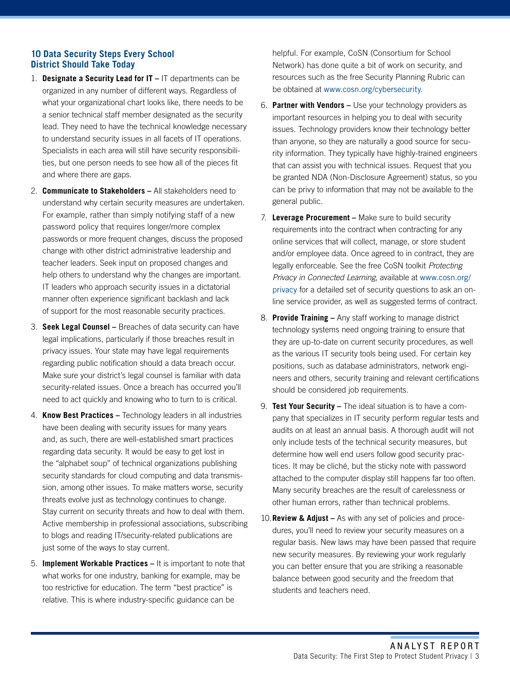## **10 Data Security Steps Every School District Should Take Today**

- 1. **Designate a Security Lead for IT –** IT departments can be organized in any number of different ways. Regardless of what your organizational chart looks like, there needs to be a senior technical staff member designated as the security lead. They need to have the technical knowledge necessary to understand security issues in all facets of IT operations. Specialists in each area will still have security responsibilities, but one person needs to see how all of the pieces fit and where there are gaps.
- 2. **Communicate to Stakeholders –** All stakeholders need to understand why certain security measures are undertaken. For example, rather than simply notifying staff of a new password policy that requires longer/more complex passwords or more frequent changes, discuss the proposed change with other district administrative leadership and teacher leaders. Seek input on proposed changes and help others to understand why the changes are important. IT leaders who approach security issues in a dictatorial manner often experience significant backlash and lack of support for the most reasonable security practices.
- 3. **Seek Legal Counsel** Breaches of data security can have legal implications, particularly if those breaches result in privacy issues. Your state may have legal requirements regarding public notification should a data breach occur. Make sure your district's legal counsel is familiar with data security-related issues. Once a breach has occurred you'll need to act quickly and knowing who to turn to is critical.
- 4. **Know Best Practices –** Technology leaders in all industries have been dealing with security issues for many years and, as such, there are well-established smart practices regarding data security. It would be easy to get lost in the "alphabet soup" of technical organizations publishing security standards for cloud computing and data transmission, among other issues. To make matters worse, security threats evolve just as technology continues to change. Stay current on security threats and how to deal with them. Active membership in professional associations, subscribing to blogs and reading IT/security-related publications are just some of the ways to stay current.
- 5. **Implement Workable Practices –** It is important to note that what works for one industry, banking for example, may be too restrictive for education. The term "best practice" is relative. This is where industry-specific guidance can be

helpful. For example, CoSN (Consortium for School Network) has done quite a bit of work on security, and resources such as the free Security Planning Rubric can be obtained at www.cosn.org/cybersecurity.

- 6. **Partner with Vendors –** Use your technology providers as important resources in helping you to deal with security issues. Technology providers know their technology better than anyone, so they are naturally a good source for security information. They typically have highly-trained engineers that can assist you with technical issues. Request that you be granted NDA (Non-Disclosure Agreement) status, so you can be privy to information that may not be available to the general public.
- 7. **Leverage Procurement –** Make sure to build security requirements into the contract when contracting for any online services that will collect, manage, or store student and/or employee data. Once agreed to in contract, they are legally enforceable. See the free CoSN toolkit *Protecting Privacy in Connected Learning*, available at [www.cosn.org/](http://www.cosn.org/privacy) [privacy](http://www.cosn.org/privacy) for a detailed set of security questions to ask an online service provider, as well as suggested terms of contract.
- 8. **Provide Training –** Any staff working to manage district technology systems need ongoing training to ensure that they are up-to-date on current security procedures, as well as the various IT security tools being used. For certain key positions, such as database administrators, network engineers and others, security training and relevant certifications should be considered job requirements.
- 9. **Test Your Security –** The ideal situation is to have a company that specializes in IT security perform regular tests and audits on at least an annual basis. A thorough audit will not only include tests of the technical security measures, but determine how well end users follow good security practices. It may be cliché, but the sticky note with password attached to the computer display still happens far too often. Many security breaches are the result of carelessness or other human errors, rather than technical problems.
- 10.**Review & Adjust** As with any set of policies and procedures, you'll need to review your security measures on a regular basis. New laws may have been passed that require new security measures. By reviewing your work regularly you can better ensure that you are striking a reasonable balance between good security and the freedom that students and teachers need.